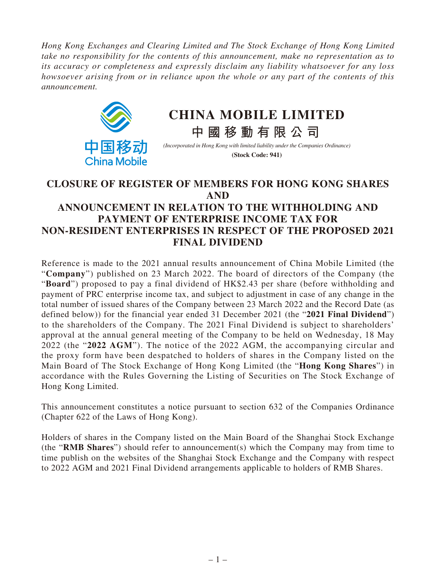*Hong Kong Exchanges and Clearing Limited and The Stock Exchange of Hong Kong Limited take no responsibility for the contents of this announcement, make no representation as to its accuracy or completeness and expressly disclaim any liability whatsoever for any loss howsoever arising from or in reliance upon the whole or any part of the contents of this announcement.*



# **CHINA MOBILE LIMITED**

*(Incorporated in Hong Kong with limited liability under the Companies Ordinance)*

**中國移動有限公司**

**(Stock Code: 941)**

## **CLOSURE OF REGISTER OF MEMBERS FOR HONG KONG SHARES AND ANNOUNCEMENT IN RELATION TO THE WITHHOLDING AND PAYMENT OF ENTERPRISE INCOME TAX FOR NON-RESIDENT ENTERPRISES IN RESPECT OF THE PROPOSED 2021 FINAL DIVIDEND**

Reference is made to the 2021 annual results announcement of China Mobile Limited (the "**Company**") published on 23 March 2022. The board of directors of the Company (the "**Board**") proposed to pay a final dividend of HK\$2.43 per share (before withholding and payment of PRC enterprise income tax, and subject to adjustment in case of any change in the total number of issued shares of the Company between 23 March 2022 and the Record Date (as defined below)) for the financial year ended 31 December 2021 (the "**2021 Final Dividend**") to the shareholders of the Company. The 2021 Final Dividend is subject to shareholders' approval at the annual general meeting of the Company to be held on Wednesday, 18 May 2022 (the "**2022 AGM**"). The notice of the 2022 AGM, the accompanying circular and the proxy form have been despatched to holders of shares in the Company listed on the Main Board of The Stock Exchange of Hong Kong Limited (the "**Hong Kong Shares**") in accordance with the Rules Governing the Listing of Securities on The Stock Exchange of Hong Kong Limited.

This announcement constitutes a notice pursuant to section 632 of the Companies Ordinance (Chapter 622 of the Laws of Hong Kong).

Holders of shares in the Company listed on the Main Board of the Shanghai Stock Exchange (the "**RMB Shares**") should refer to announcement(s) which the Company may from time to time publish on the websites of the Shanghai Stock Exchange and the Company with respect to 2022 AGM and 2021 Final Dividend arrangements applicable to holders of RMB Shares.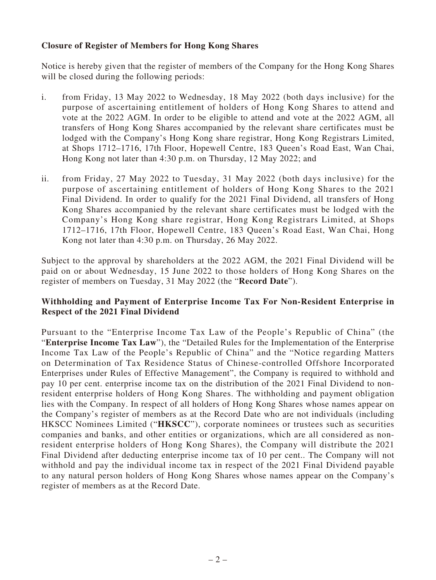### **Closure of Register of Members for Hong Kong Shares**

Notice is hereby given that the register of members of the Company for the Hong Kong Shares will be closed during the following periods:

- i. from Friday, 13 May 2022 to Wednesday, 18 May 2022 (both days inclusive) for the purpose of ascertaining entitlement of holders of Hong Kong Shares to attend and vote at the 2022 AGM. In order to be eligible to attend and vote at the 2022 AGM, all transfers of Hong Kong Shares accompanied by the relevant share certificates must be lodged with the Company's Hong Kong share registrar, Hong Kong Registrars Limited, at Shops 1712–1716, 17th Floor, Hopewell Centre, 183 Queen's Road East, Wan Chai, Hong Kong not later than 4:30 p.m. on Thursday, 12 May 2022; and
- ii. from Friday, 27 May 2022 to Tuesday, 31 May 2022 (both days inclusive) for the purpose of ascertaining entitlement of holders of Hong Kong Shares to the 2021 Final Dividend. In order to qualify for the 2021 Final Dividend, all transfers of Hong Kong Shares accompanied by the relevant share certificates must be lodged with the Company's Hong Kong share registrar, Hong Kong Registrars Limited, at Shops 1712–1716, 17th Floor, Hopewell Centre, 183 Queen's Road East, Wan Chai, Hong Kong not later than 4:30 p.m. on Thursday, 26 May 2022.

Subject to the approval by shareholders at the 2022 AGM, the 2021 Final Dividend will be paid on or about Wednesday, 15 June 2022 to those holders of Hong Kong Shares on the register of members on Tuesday, 31 May 2022 (the "**Record Date**").

### **Withholding and Payment of Enterprise Income Tax For Non-Resident Enterprise in Respect of the 2021 Final Dividend**

Pursuant to the "Enterprise Income Tax Law of the People's Republic of China" (the "**Enterprise Income Tax Law**"), the "Detailed Rules for the Implementation of the Enterprise Income Tax Law of the People's Republic of China" and the "Notice regarding Matters on Determination of Tax Residence Status of Chinese-controlled Offshore Incorporated Enterprises under Rules of Effective Management", the Company is required to withhold and pay 10 per cent. enterprise income tax on the distribution of the 2021 Final Dividend to nonresident enterprise holders of Hong Kong Shares. The withholding and payment obligation lies with the Company. In respect of all holders of Hong Kong Shares whose names appear on the Company's register of members as at the Record Date who are not individuals (including HKSCC Nominees Limited ("**HKSCC**"), corporate nominees or trustees such as securities companies and banks, and other entities or organizations, which are all considered as nonresident enterprise holders of Hong Kong Shares), the Company will distribute the 2021 Final Dividend after deducting enterprise income tax of 10 per cent.. The Company will not withhold and pay the individual income tax in respect of the 2021 Final Dividend payable to any natural person holders of Hong Kong Shares whose names appear on the Company's register of members as at the Record Date.